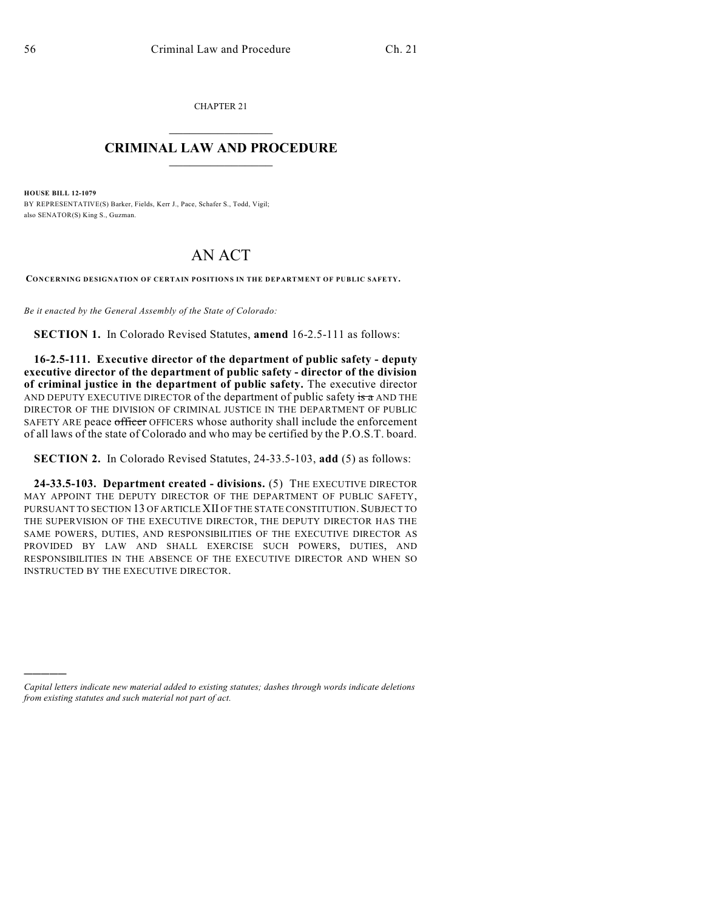CHAPTER 21  $\overline{\phantom{a}}$  . The set of the set of the set of the set of the set of the set of the set of the set of the set of the set of the set of the set of the set of the set of the set of the set of the set of the set of the set o

## **CRIMINAL LAW AND PROCEDURE**  $\_$

**HOUSE BILL 12-1079** BY REPRESENTATIVE(S) Barker, Fields, Kerr J., Pace, Schafer S., Todd, Vigil; also SENATOR(S) King S., Guzman.

## AN ACT

**CONCERNING DESIGNATION OF CERTAIN POSITIONS IN THE DEPARTMENT OF PUBLIC SAFETY.**

*Be it enacted by the General Assembly of the State of Colorado:*

**SECTION 1.** In Colorado Revised Statutes, **amend** 16-2.5-111 as follows:

**16-2.5-111. Executive director of the department of public safety - deputy executive director of the department of public safety - director of the division of criminal justice in the department of public safety.** The executive director AND DEPUTY EXECUTIVE DIRECTOR of the department of public safety is a AND THE DIRECTOR OF THE DIVISION OF CRIMINAL JUSTICE IN THE DEPARTMENT OF PUBLIC SAFETY ARE peace officer OFFICERS whose authority shall include the enforcement of all laws of the state of Colorado and who may be certified by the P.O.S.T. board.

**SECTION 2.** In Colorado Revised Statutes, 24-33.5-103, **add** (5) as follows:

**24-33.5-103. Department created - divisions.** (5) THE EXECUTIVE DIRECTOR MAY APPOINT THE DEPUTY DIRECTOR OF THE DEPARTMENT OF PUBLIC SAFETY, PURSUANT TO SECTION 13 OF ARTICLE XII OF THE STATE CONSTITUTION. SUBJECT TO THE SUPERVISION OF THE EXECUTIVE DIRECTOR, THE DEPUTY DIRECTOR HAS THE SAME POWERS, DUTIES, AND RESPONSIBILITIES OF THE EXECUTIVE DIRECTOR AS PROVIDED BY LAW AND SHALL EXERCISE SUCH POWERS, DUTIES, AND RESPONSIBILITIES IN THE ABSENCE OF THE EXECUTIVE DIRECTOR AND WHEN SO INSTRUCTED BY THE EXECUTIVE DIRECTOR.

)))))

*Capital letters indicate new material added to existing statutes; dashes through words indicate deletions from existing statutes and such material not part of act.*